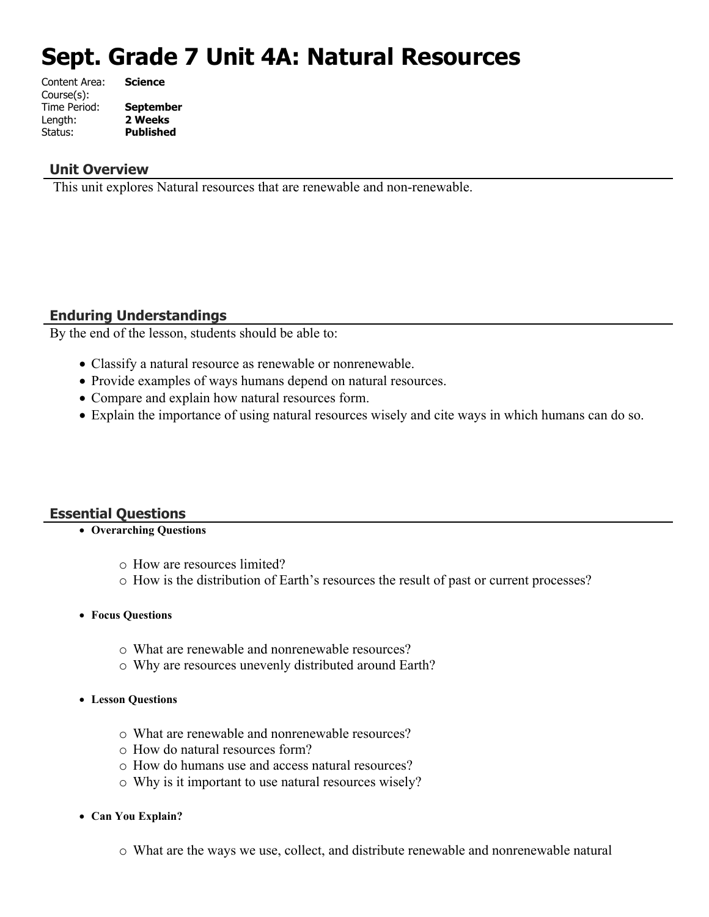# **Sept. Grade 7 Unit 4A: Natural Resources**

| Content Area: | <b>Science</b>   |
|---------------|------------------|
| Course(s):    |                  |
| Time Period:  | <b>September</b> |
| Length:       | 2 Weeks          |
| Status:       | <b>Published</b> |
|               |                  |

### **Unit Overview**

This unit explores Natural resources that are renewable and non-renewable.

### **Enduring Understandings**

By the end of the lesson, students should be able to:

- Classify a natural resource as renewable or nonrenewable.
- Provide examples of ways humans depend on natural resources.
- Compare and explain how natural resources form.
- Explain the importance of using natural resources wisely and cite ways in which humans can do so.

### **Essential Questions**

### **Overarching Questions**

- o How are resources limited?
- o How is the distribution of Earth's resources the result of past or current processes?
- **Focus Questions**
	- o What are renewable and nonrenewable resources?
	- o Why are resources unevenly distributed around Earth?
- **Lesson Questions**
	- o What are renewable and nonrenewable resources?
	- o How do natural resources form?
	- o How do humans use and access natural resources?
	- o Why is it important to use natural resources wisely?
- **Can You Explain?**
	- o What are the ways we use, collect, and distribute renewable and nonrenewable natural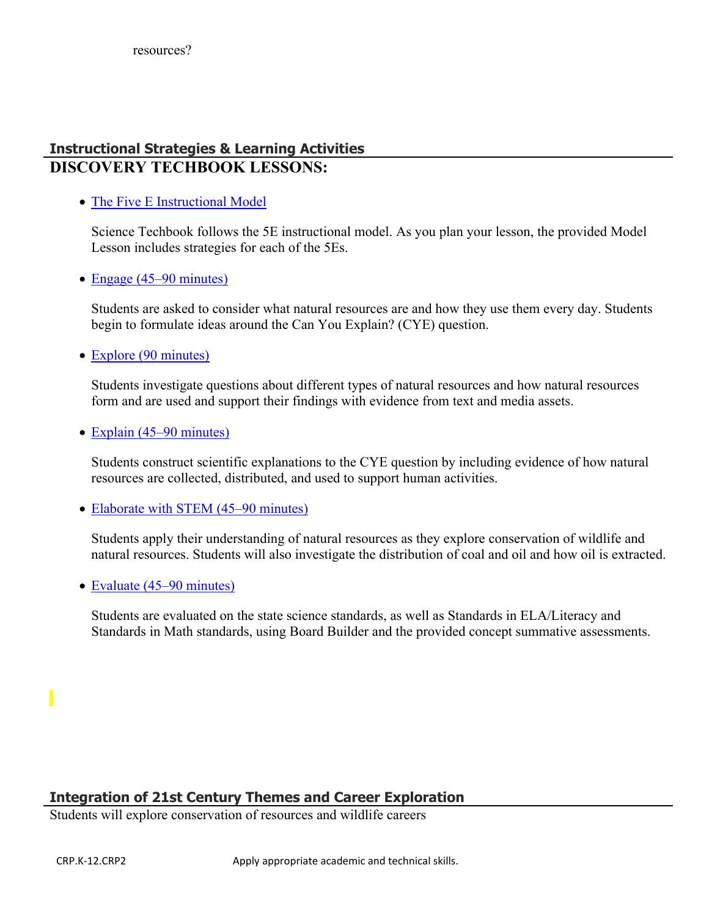## **Instructional Strategies & Learning Activities DISCOVERY TECHBOOK LESSONS:**

• [The Five E Instructional Model](https://app.discoveryeducation.com/learn/techbook/units/e82b02d7-bf5b-4915-ac4e-15a18765a628/concepts/f1286c46-3cb6-4081-8711-6a5f9b7025d1/lesson/sections/2520b843-f39a-4e69-88e5-b1f1e73fd999#49aef89f-4fb7-4cb0-90e0-208eb4d15f09)

Science Techbook follows the 5E instructional model. As you plan your lesson, the provided Model Lesson includes strategies for each of the 5Es.

• [Engage \(45–90 minutes\)](https://app.discoveryeducation.com/learn/techbook/units/e82b02d7-bf5b-4915-ac4e-15a18765a628/concepts/f1286c46-3cb6-4081-8711-6a5f9b7025d1/lesson/sections/2520b843-f39a-4e69-88e5-b1f1e73fd999#27f45ba0-a2bb-47e7-bca6-5c9fe23b5bfe)

Students are asked to consider what natural resources are and how they use them every day. Students begin to formulate ideas around the Can You Explain? (CYE) question.

• [Explore \(90 minutes\)](https://app.discoveryeducation.com/learn/techbook/units/e82b02d7-bf5b-4915-ac4e-15a18765a628/concepts/f1286c46-3cb6-4081-8711-6a5f9b7025d1/lesson/sections/2520b843-f39a-4e69-88e5-b1f1e73fd999#e32744bc-ae57-40ab-b26a-23722bcd54ab)

Students investigate questions about different types of natural resources and how natural resources form and are used and support their findings with evidence from text and media assets.

• [Explain \(45–90 minutes\)](https://app.discoveryeducation.com/learn/techbook/units/e82b02d7-bf5b-4915-ac4e-15a18765a628/concepts/f1286c46-3cb6-4081-8711-6a5f9b7025d1/lesson/sections/2520b843-f39a-4e69-88e5-b1f1e73fd999#3cd64934-3ab9-4e64-876e-63a0baaa5740)

Students construct scientific explanations to the CYE question by including evidence of how natural resources are collected, distributed, and used to support human activities.

• [Elaborate with STEM \(45–90 minutes\)](https://app.discoveryeducation.com/learn/techbook/units/e82b02d7-bf5b-4915-ac4e-15a18765a628/concepts/f1286c46-3cb6-4081-8711-6a5f9b7025d1/lesson/sections/2520b843-f39a-4e69-88e5-b1f1e73fd999#aef68a72-9e21-4f93-9fb6-d3ed49f3f4be)

Students apply their understanding of natural resources as they explore conservation of wildlife and natural resources. Students will also investigate the distribution of coal and oil and how oil is extracted.

• [Evaluate \(45–90 minutes\)](https://app.discoveryeducation.com/learn/techbook/units/e82b02d7-bf5b-4915-ac4e-15a18765a628/concepts/f1286c46-3cb6-4081-8711-6a5f9b7025d1/lesson/sections/2520b843-f39a-4e69-88e5-b1f1e73fd999#4e2df844-ebf2-4cd2-8e93-06911ea86c3c)

Students are evaluated on the state science standards, as well as Standards in ELA/Literacy and Standards in Math standards, using Board Builder and the provided concept summative assessments.

### **Integration of 21st Century Themes and Career Exploration**

Students will explore conservation of resources and wildlife careers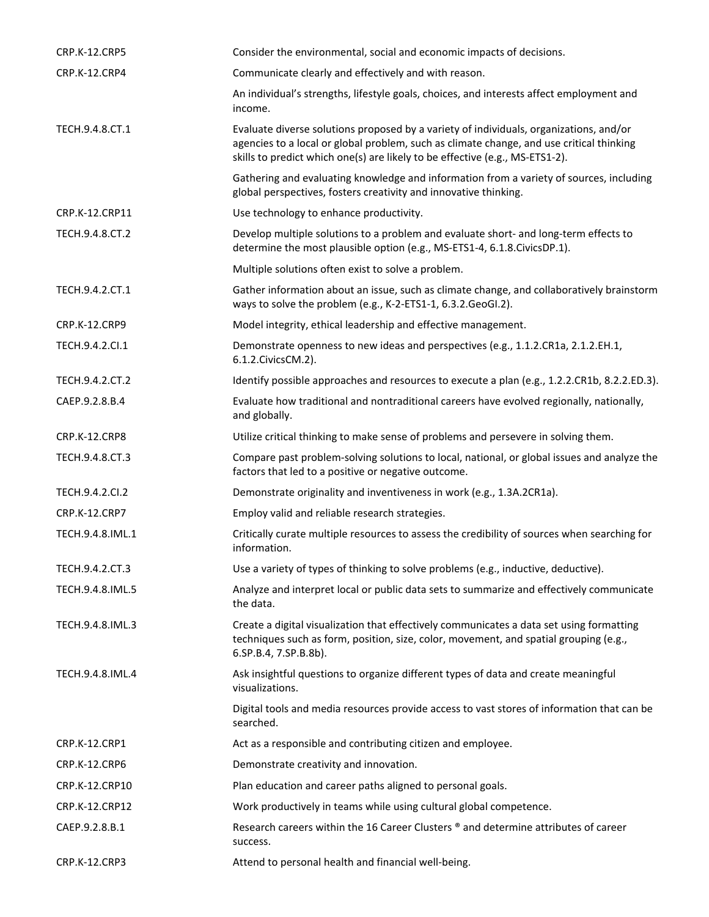| <b>CRP.K-12.CRP5</b> | Consider the environmental, social and economic impacts of decisions.                                                                                                                                                                                              |
|----------------------|--------------------------------------------------------------------------------------------------------------------------------------------------------------------------------------------------------------------------------------------------------------------|
| CRP.K-12.CRP4        | Communicate clearly and effectively and with reason.                                                                                                                                                                                                               |
|                      | An individual's strengths, lifestyle goals, choices, and interests affect employment and<br>income.                                                                                                                                                                |
| TECH.9.4.8.CT.1      | Evaluate diverse solutions proposed by a variety of individuals, organizations, and/or<br>agencies to a local or global problem, such as climate change, and use critical thinking<br>skills to predict which one(s) are likely to be effective (e.g., MS-ETS1-2). |
|                      | Gathering and evaluating knowledge and information from a variety of sources, including<br>global perspectives, fosters creativity and innovative thinking.                                                                                                        |
| CRP.K-12.CRP11       | Use technology to enhance productivity.                                                                                                                                                                                                                            |
| TECH.9.4.8.CT.2      | Develop multiple solutions to a problem and evaluate short- and long-term effects to<br>determine the most plausible option (e.g., MS-ETS1-4, 6.1.8.CivicsDP.1).                                                                                                   |
|                      | Multiple solutions often exist to solve a problem.                                                                                                                                                                                                                 |
| TECH.9.4.2.CT.1      | Gather information about an issue, such as climate change, and collaboratively brainstorm<br>ways to solve the problem (e.g., K-2-ETS1-1, 6.3.2.GeoGI.2).                                                                                                          |
| CRP.K-12.CRP9        | Model integrity, ethical leadership and effective management.                                                                                                                                                                                                      |
| TECH.9.4.2.Cl.1      | Demonstrate openness to new ideas and perspectives (e.g., 1.1.2.CR1a, 2.1.2.EH.1,<br>6.1.2. Civics CM. 2).                                                                                                                                                         |
| TECH.9.4.2.CT.2      | Identify possible approaches and resources to execute a plan (e.g., 1.2.2.CR1b, 8.2.2.ED.3).                                                                                                                                                                       |
| CAEP.9.2.8.B.4       | Evaluate how traditional and nontraditional careers have evolved regionally, nationally,<br>and globally.                                                                                                                                                          |
| CRP.K-12.CRP8        | Utilize critical thinking to make sense of problems and persevere in solving them.                                                                                                                                                                                 |
| TECH.9.4.8.CT.3      | Compare past problem-solving solutions to local, national, or global issues and analyze the<br>factors that led to a positive or negative outcome.                                                                                                                 |
| TECH.9.4.2.Cl.2      | Demonstrate originality and inventiveness in work (e.g., 1.3A.2CR1a).                                                                                                                                                                                              |
| CRP.K-12.CRP7        | Employ valid and reliable research strategies.                                                                                                                                                                                                                     |
| TECH.9.4.8.IML.1     | Critically curate multiple resources to assess the credibility of sources when searching for<br>information.                                                                                                                                                       |
| TECH.9.4.2.CT.3      | Use a variety of types of thinking to solve problems (e.g., inductive, deductive).                                                                                                                                                                                 |
| TECH.9.4.8.IML.5     | Analyze and interpret local or public data sets to summarize and effectively communicate<br>the data.                                                                                                                                                              |
| TECH.9.4.8.IML.3     | Create a digital visualization that effectively communicates a data set using formatting<br>techniques such as form, position, size, color, movement, and spatial grouping (e.g.,<br>6.SP.B.4, 7.SP.B.8b).                                                         |
| TECH.9.4.8.IML.4     | Ask insightful questions to organize different types of data and create meaningful<br>visualizations.                                                                                                                                                              |
|                      | Digital tools and media resources provide access to vast stores of information that can be<br>searched.                                                                                                                                                            |
| <b>CRP.K-12.CRP1</b> | Act as a responsible and contributing citizen and employee.                                                                                                                                                                                                        |
| CRP.K-12.CRP6        | Demonstrate creativity and innovation.                                                                                                                                                                                                                             |
| CRP.K-12.CRP10       | Plan education and career paths aligned to personal goals.                                                                                                                                                                                                         |
| CRP.K-12.CRP12       | Work productively in teams while using cultural global competence.                                                                                                                                                                                                 |
| CAEP.9.2.8.B.1       | Research careers within the 16 Career Clusters ® and determine attributes of career<br>success.                                                                                                                                                                    |
| CRP.K-12.CRP3        | Attend to personal health and financial well-being.                                                                                                                                                                                                                |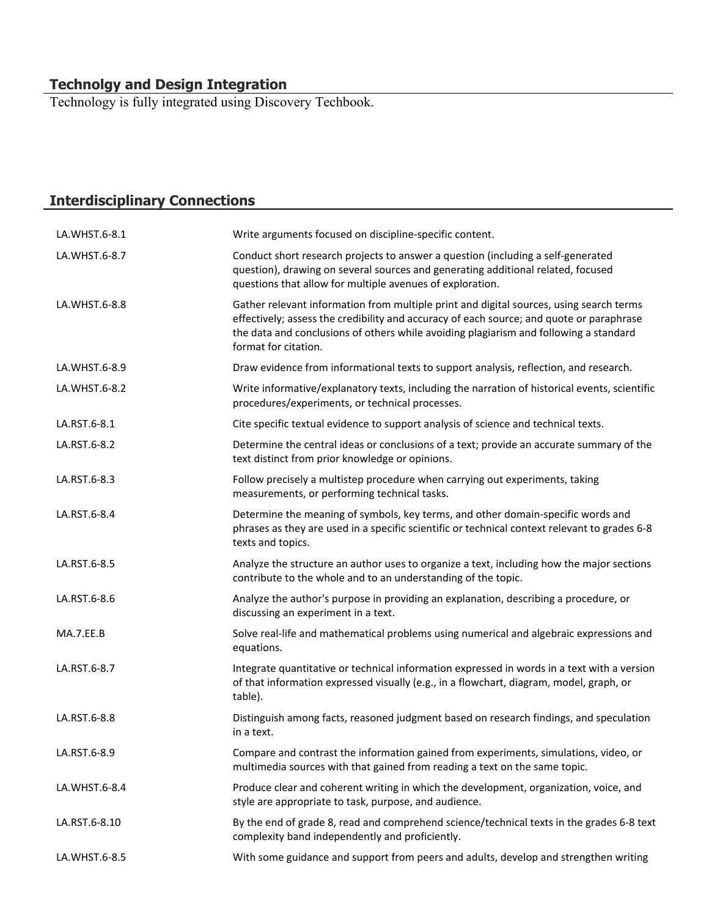### **Technolgy and Design Integration**

Technology is fully integrated using Discovery Techbook.

# **Interdisciplinary Connections**

| LA.WHST.6-8.1 | Write arguments focused on discipline-specific content.                                                                                                                                                                                                                                              |
|---------------|------------------------------------------------------------------------------------------------------------------------------------------------------------------------------------------------------------------------------------------------------------------------------------------------------|
| LA.WHST.6-8.7 | Conduct short research projects to answer a question (including a self-generated<br>question), drawing on several sources and generating additional related, focused<br>questions that allow for multiple avenues of exploration.                                                                    |
| LA.WHST.6-8.8 | Gather relevant information from multiple print and digital sources, using search terms<br>effectively; assess the credibility and accuracy of each source; and quote or paraphrase<br>the data and conclusions of others while avoiding plagiarism and following a standard<br>format for citation. |
| LA.WHST.6-8.9 | Draw evidence from informational texts to support analysis, reflection, and research.                                                                                                                                                                                                                |
| LA.WHST.6-8.2 | Write informative/explanatory texts, including the narration of historical events, scientific<br>procedures/experiments, or technical processes.                                                                                                                                                     |
| LA.RST.6-8.1  | Cite specific textual evidence to support analysis of science and technical texts.                                                                                                                                                                                                                   |
| LA.RST.6-8.2  | Determine the central ideas or conclusions of a text; provide an accurate summary of the<br>text distinct from prior knowledge or opinions.                                                                                                                                                          |
| LA.RST.6-8.3  | Follow precisely a multistep procedure when carrying out experiments, taking<br>measurements, or performing technical tasks.                                                                                                                                                                         |
| LA.RST.6-8.4  | Determine the meaning of symbols, key terms, and other domain-specific words and<br>phrases as they are used in a specific scientific or technical context relevant to grades 6-8<br>texts and topics.                                                                                               |
| LA.RST.6-8.5  | Analyze the structure an author uses to organize a text, including how the major sections<br>contribute to the whole and to an understanding of the topic.                                                                                                                                           |
| LA.RST.6-8.6  | Analyze the author's purpose in providing an explanation, describing a procedure, or<br>discussing an experiment in a text.                                                                                                                                                                          |
| MA.7.EE.B     | Solve real-life and mathematical problems using numerical and algebraic expressions and<br>equations.                                                                                                                                                                                                |
| LA.RST.6-8.7  | Integrate quantitative or technical information expressed in words in a text with a version<br>of that information expressed visually (e.g., in a flowchart, diagram, model, graph, or<br>table).                                                                                                    |
| LA.RST.6-8.8  | Distinguish among facts, reasoned judgment based on research findings, and speculation<br>in a text.                                                                                                                                                                                                 |
| LA.RST.6-8.9  | Compare and contrast the information gained from experiments, simulations, video, or<br>multimedia sources with that gained from reading a text on the same topic.                                                                                                                                   |
| LA.WHST.6-8.4 | Produce clear and coherent writing in which the development, organization, voice, and<br>style are appropriate to task, purpose, and audience.                                                                                                                                                       |
| LA.RST.6-8.10 | By the end of grade 8, read and comprehend science/technical texts in the grades 6-8 text<br>complexity band independently and proficiently.                                                                                                                                                         |
| LA.WHST.6-8.5 | With some guidance and support from peers and adults, develop and strengthen writing                                                                                                                                                                                                                 |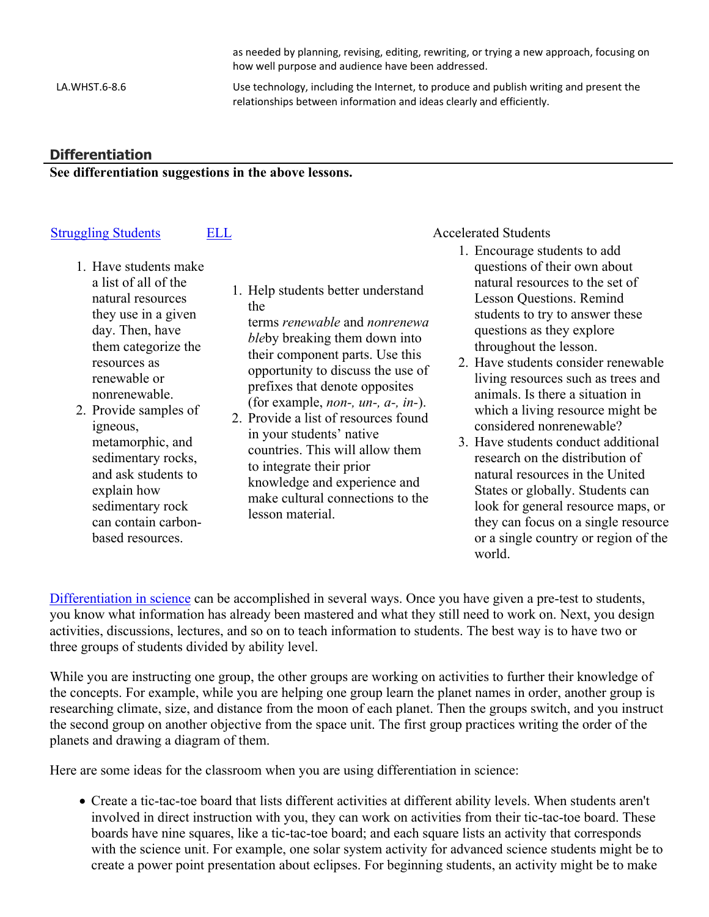as needed by planning, revising, editing, rewriting, or trying a new approach, focusing on how well purpose and audience have been addressed.

LA.WHST.6-8.6 Use technology, including the Internet, to produce and publish writing and present the relationships between information and ideas clearly and efficiently.

### **Differentiation**

### **See differentiation suggestions in the above lessons.**

### [Struggling Students](https://app.discoveryeducation.com/player/view/assetGuid/4995767F-D634-40C6-B25B-BDEA06E14F90) [ELL](https://app.discoveryeducation.com/player/view/assetGuid/D727DF69-B79B-4A92-AA1F-CE23C74D98D9) Accelerated Students

- 1. Have students make a list of all of the natural resources they use in a given day. Then, have them categorize the resources as renewable or nonrenewable.
- 2. Provide samples of igneous, metamorphic, and sedimentary rocks, and ask students to explain how sedimentary rock can contain carbonbased resources.
- 1. Help students better understand the terms *renewable* and *nonrenewa ble*by breaking them down into their component parts. Use this opportunity to discuss the use of prefixes that denote opposites (for example, *non-, un-, a-, in-*). 2. Provide a list of resources found
- in your students' native countries. This will allow them to integrate their prior knowledge and experience and make cultural connections to the lesson material.

- 1. Encourage students to add questions of their own about natural resources to the set of Lesson Questions. Remind students to try to answer these questions as they explore throughout the lesson.
- 2. Have students consider renewable living resources such as trees and animals. Is there a situation in which a living resource might be considered nonrenewable?
- 3. Have students conduct additional research on the distribution of natural resources in the United States or globally. Students can look for general resource maps, or they can focus on a single resource or a single country or region of the world.

[Differentiation in science](http://www.brighthubeducation.com/teaching-gifted-students/65181-differentiation-techniques-and-activities-in-the-classroom-for-gifted-students/) can be accomplished in several ways. Once you have given a pre-test to students, you know what information has already been mastered and what they still need to work on. Next, you design activities, discussions, lectures, and so on to teach information to students. The best way is to have two or three groups of students divided by ability level.

While you are instructing one group, the other groups are working on activities to further their knowledge of the concepts. For example, while you are helping one group learn the planet names in order, another group is researching climate, size, and distance from the moon of each planet. Then the groups switch, and you instruct the second group on another objective from the space unit. The first group practices writing the order of the planets and drawing a diagram of them.

Here are some ideas for the classroom when you are using differentiation in science:

 Create a tic-tac-toe board that lists different activities at different ability levels. When students aren't involved in direct instruction with you, they can work on activities from their tic-tac-toe board. These boards have nine squares, like a tic-tac-toe board; and each square lists an activity that corresponds with the science unit. For example, one solar system activity for advanced science students might be to create a power point presentation about eclipses. For beginning students, an activity might be to make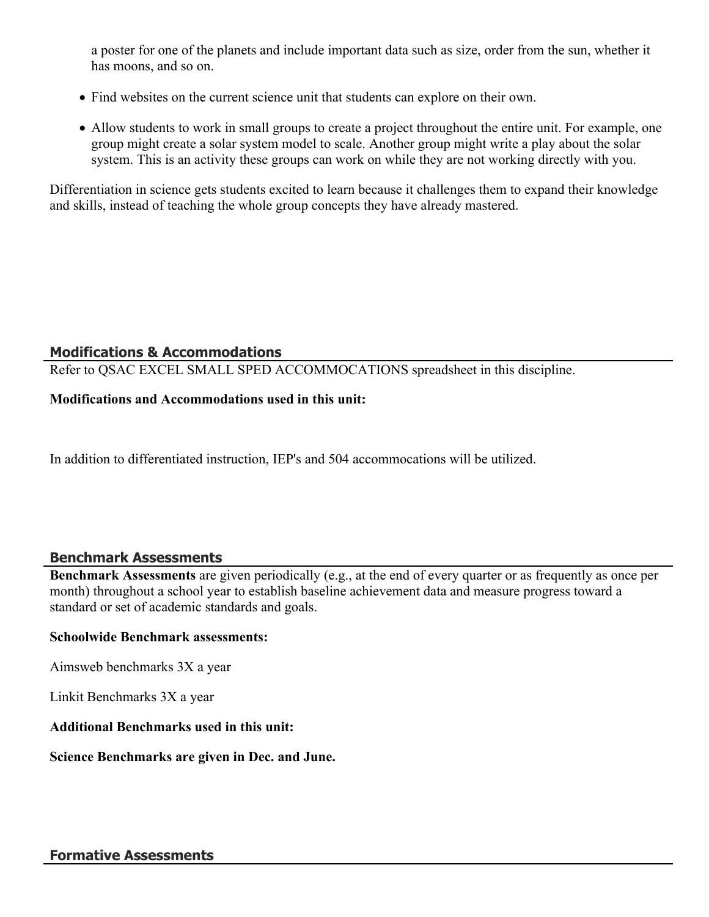a poster for one of the planets and include important data such as size, order from the sun, whether it has moons, and so on.

- Find websites on the current science unit that students can explore on their own.
- Allow students to work in small groups to create a project throughout the entire unit. For example, one group might create a solar system model to scale. Another group might write a play about the solar system. This is an activity these groups can work on while they are not working directly with you.

Differentiation in science gets students excited to learn because it challenges them to expand their knowledge and skills, instead of teaching the whole group concepts they have already mastered.

### **Modifications & Accommodations**

Refer to QSAC EXCEL SMALL SPED ACCOMMOCATIONS spreadsheet in this discipline.

### **Modifications and Accommodations used in this unit:**

In addition to differentiated instruction, IEP's and 504 accommocations will be utilized.

### **Benchmark Assessments**

**Benchmark Assessments** are given periodically (e.g., at the end of every quarter or as frequently as once per month) throughout a school year to establish baseline achievement data and measure progress toward a standard or set of academic standards and goals.

### **Schoolwide Benchmark assessments:**

Aimsweb benchmarks 3X a year

Linkit Benchmarks 3X a year

### **Additional Benchmarks used in this unit:**

### **Science Benchmarks are given in Dec. and June.**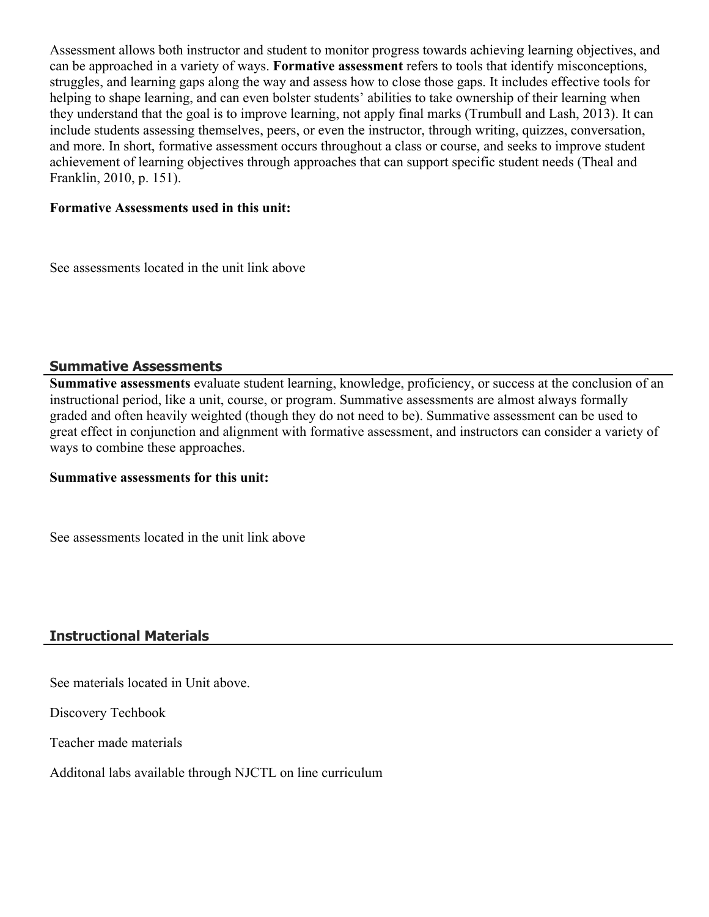Assessment allows both instructor and student to monitor progress towards achieving learning objectives, and can be approached in a variety of ways. **Formative assessment** refers to tools that identify misconceptions, struggles, and learning gaps along the way and assess how to close those gaps. It includes effective tools for helping to shape learning, and can even bolster students' abilities to take ownership of their learning when they understand that the goal is to improve learning, not apply final marks (Trumbull and Lash, 2013). It can include students assessing themselves, peers, or even the instructor, through writing, quizzes, conversation, and more. In short, formative assessment occurs throughout a class or course, and seeks to improve student achievement of learning objectives through approaches that can support specific student needs (Theal and Franklin, 2010, p. 151).

### **Formative Assessments used in this unit:**

See assessments located in the unit link above

### **Summative Assessments**

**Summative assessments** evaluate student learning, knowledge, proficiency, or success at the conclusion of an instructional period, like a unit, course, or program. Summative assessments are almost always formally graded and often heavily weighted (though they do not need to be). Summative assessment can be used to great effect in conjunction and alignment with formative assessment, and instructors can consider a variety of ways to combine these approaches.

### **Summative assessments for this unit:**

See assessments located in the unit link above

### **Instructional Materials**

See materials located in Unit above.

Discovery Techbook

Teacher made materials

Additonal labs available through NJCTL on line curriculum